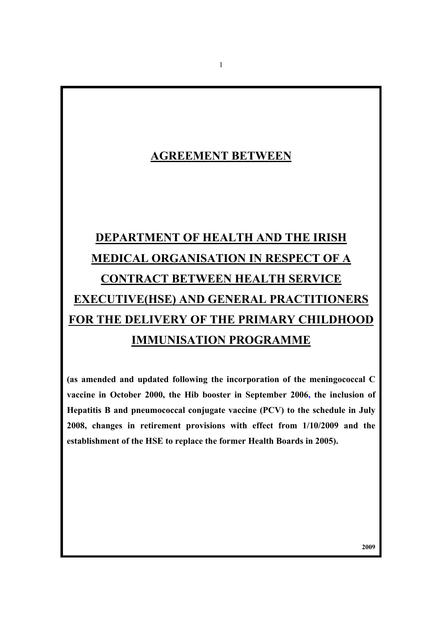# **AGREEMENT BETWEEN**

1

# **DEPARTMENT OF HEALTH AND THE IRISH MEDICAL ORGANISATION IN RESPECT OF A CONTRACT BETWEEN HEALTH SERVICE EXECUTIVE(HSE) AND GENERAL PRACTITIONERS FOR THE DELIVERY OF THE PRIMARY CHILDHOOD IMMUNISATION PROGRAMME**

**(as amended and updated following the incorporation of the meningococcal C vaccine in October 2000, the Hib booster in September 2006, the inclusion of Hepatitis B and pneumococcal conjugate vaccine (PCV) to the schedule in July 2008, changes in retirement provisions with effect from 1/10/2009 and the establishment of the HSE to replace the former Health Boards in 2005).** 

 **2009**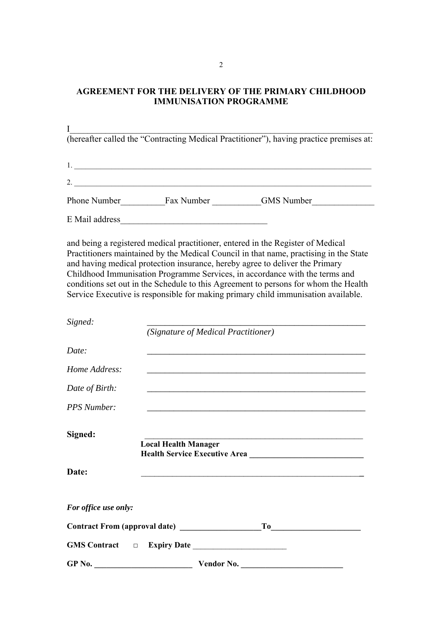### **AGREEMENT FOR THE DELIVERY OF THE PRIMARY CHILDHOOD IMMUNISATION PROGRAMME**

|              |            | (hereafter called the "Contracting Medical Practitioner"), having practice premises at: |  |
|--------------|------------|-----------------------------------------------------------------------------------------|--|
|              |            |                                                                                         |  |
|              |            |                                                                                         |  |
|              |            |                                                                                         |  |
| 2.           |            |                                                                                         |  |
| Phone Number | Fax Number | <b>GMS</b> Number                                                                       |  |
|              |            |                                                                                         |  |

E Mail address\_\_\_\_\_\_\_\_\_\_\_\_\_\_\_\_\_\_\_\_\_\_\_\_\_\_\_\_\_\_\_\_\_

and being a registered medical practitioner, entered in the Register of Medical Practitioners maintained by the Medical Council in that name, practising in the State and having medical protection insurance, hereby agree to deliver the Primary Childhood Immunisation Programme Services, in accordance with the terms and conditions set out in the Schedule to this Agreement to persons for whom the Health Service Executive is responsible for making primary child immunisation available.

| Signed:              |                                                      |  |
|----------------------|------------------------------------------------------|--|
|                      | (Signature of Medical Practitioner)                  |  |
| Date:                |                                                      |  |
| Home Address:        |                                                      |  |
| Date of Birth:       | <u> 1980 - Jan Barnett, fransk politik (d. 1980)</u> |  |
| <b>PPS</b> Number:   |                                                      |  |
| Signed:              | <b>Local Health Manager</b>                          |  |
| Date:                |                                                      |  |
| For office use only: |                                                      |  |
|                      | To                                                   |  |
|                      |                                                      |  |
| GP No.               | Vendor No.                                           |  |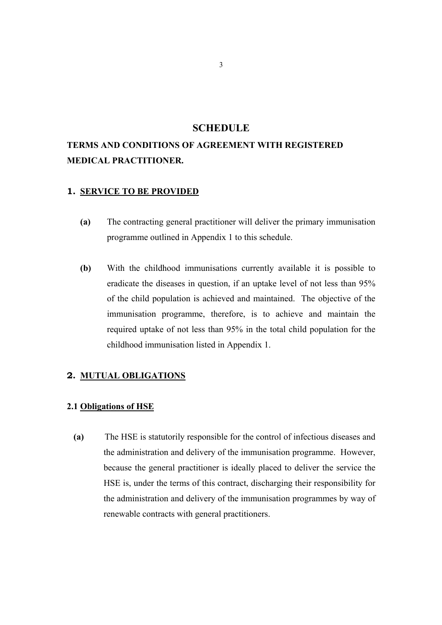### **SCHEDULE**

# **TERMS AND CONDITIONS OF AGREEMENT WITH REGISTERED MEDICAL PRACTITIONER.**

### **1. SERVICE TO BE PROVIDED**

- **(a)** The contracting general practitioner will deliver the primary immunisation programme outlined in Appendix 1 to this schedule.
- **(b)** With the childhood immunisations currently available it is possible to eradicate the diseases in question, if an uptake level of not less than 95% of the child population is achieved and maintained. The objective of the immunisation programme, therefore, is to achieve and maintain the required uptake of not less than 95% in the total child population for the childhood immunisation listed in Appendix 1.

### **2. MUTUAL OBLIGATIONS**

### **2.1 Obligations of HSE**

**(a)** The HSE is statutorily responsible for the control of infectious diseases and the administration and delivery of the immunisation programme. However, because the general practitioner is ideally placed to deliver the service the HSE is, under the terms of this contract, discharging their responsibility for the administration and delivery of the immunisation programmes by way of renewable contracts with general practitioners.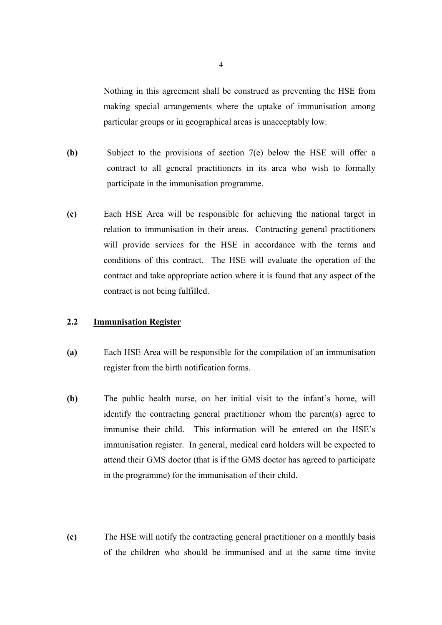Nothing in this agreement shall be construed as preventing the HSE from making special arrangements where the uptake of immunisation among particular groups or in geographical areas is unacceptably low.

- **(b)** Subject to the provisions of section 7(e) below the HSE will offer a contract to all general practitioners in its area who wish to formally participate in the immunisation programme.
- **(c)** Each HSE Area will be responsible for achieving the national target in relation to immunisation in their areas. Contracting general practitioners will provide services for the HSE in accordance with the terms and conditions of this contract. The HSE will evaluate the operation of the contract and take appropriate action where it is found that any aspect of the contract is not being fulfilled.

### **2.2 Immunisation Register**

- **(a)** Each HSE Area will be responsible for the compilation of an immunisation register from the birth notification forms.
- **(b)** The public health nurse, on her initial visit to the infant's home, will identify the contracting general practitioner whom the parent(s) agree to immunise their child. This information will be entered on the HSE's immunisation register. In general, medical card holders will be expected to attend their GMS doctor (that is if the GMS doctor has agreed to participate in the programme) for the immunisation of their child.
- **(c)** The HSE will notify the contracting general practitioner on a monthly basis of the children who should be immunised and at the same time invite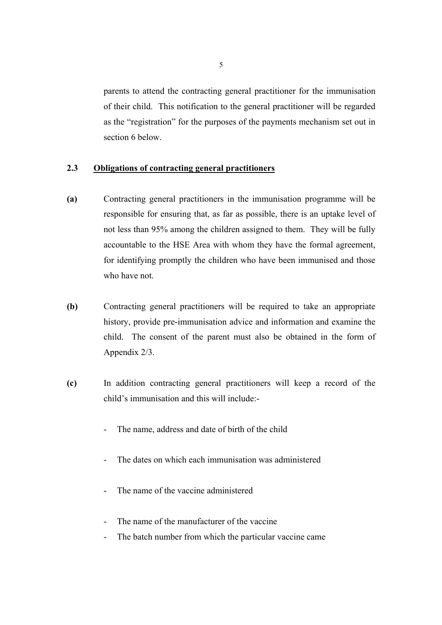parents to attend the contracting general practitioner for the immunisation of their child. This notification to the general practitioner will be regarded as the "registration" for the purposes of the payments mechanism set out in section 6 below.

### **2.3 Obligations of contracting general practitioners**

- **(a)** Contracting general practitioners in the immunisation programme will be responsible for ensuring that, as far as possible, there is an uptake level of not less than 95% among the children assigned to them. They will be fully accountable to the HSE Area with whom they have the formal agreement, for identifying promptly the children who have been immunised and those who have not.
- **(b)** Contracting general practitioners will be required to take an appropriate history, provide pre-immunisation advice and information and examine the child. The consent of the parent must also be obtained in the form of Appendix 2/3.
- **(c)** In addition contracting general practitioners will keep a record of the child's immunisation and this will include:-
	- The name, address and date of birth of the child
	- The dates on which each immunisation was administered
	- The name of the vaccine administered
	- The name of the manufacturer of the vaccine
	- The batch number from which the particular vaccine came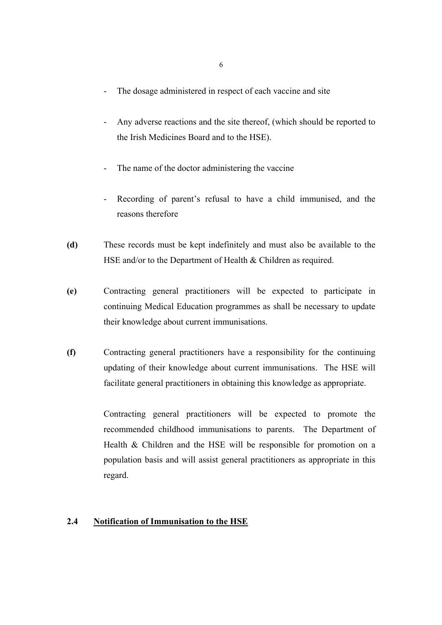- The dosage administered in respect of each vaccine and site
- Any adverse reactions and the site thereof, (which should be reported to the Irish Medicines Board and to the HSE).
- The name of the doctor administering the vaccine
- Recording of parent's refusal to have a child immunised, and the reasons therefore
- **(d)** These records must be kept indefinitely and must also be available to the HSE and/or to the Department of Health & Children as required.
- **(e)** Contracting general practitioners will be expected to participate in continuing Medical Education programmes as shall be necessary to update their knowledge about current immunisations.
- **(f)** Contracting general practitioners have a responsibility for the continuing updating of their knowledge about current immunisations. The HSE will facilitate general practitioners in obtaining this knowledge as appropriate.

Contracting general practitioners will be expected to promote the recommended childhood immunisations to parents. The Department of Health & Children and the HSE will be responsible for promotion on a population basis and will assist general practitioners as appropriate in this regard.

### **2.4 Notification of Immunisation to the HSE**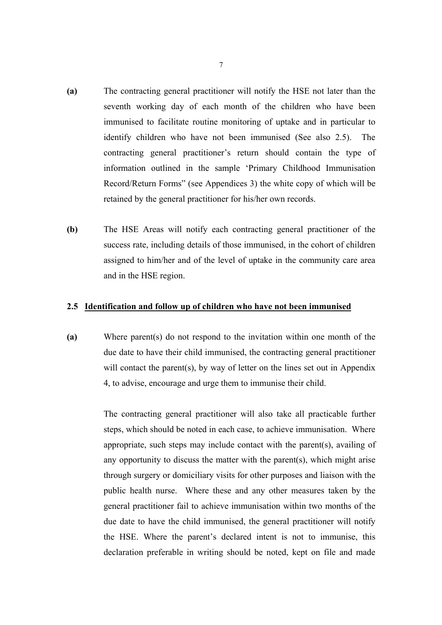- **(a)** The contracting general practitioner will notify the HSE not later than the seventh working day of each month of the children who have been immunised to facilitate routine monitoring of uptake and in particular to identify children who have not been immunised (See also 2.5). The contracting general practitioner's return should contain the type of information outlined in the sample 'Primary Childhood Immunisation Record/Return Forms" (see Appendices 3) the white copy of which will be retained by the general practitioner for his/her own records.
- **(b)** The HSE Areas will notify each contracting general practitioner of the success rate, including details of those immunised, in the cohort of children assigned to him/her and of the level of uptake in the community care area and in the HSE region.

### **2.5 Identification and follow up of children who have not been immunised**

**(a)** Where parent(s) do not respond to the invitation within one month of the due date to have their child immunised, the contracting general practitioner will contact the parent(s), by way of letter on the lines set out in Appendix 4, to advise, encourage and urge them to immunise their child.

> The contracting general practitioner will also take all practicable further steps, which should be noted in each case, to achieve immunisation. Where appropriate, such steps may include contact with the parent(s), availing of any opportunity to discuss the matter with the parent(s), which might arise through surgery or domiciliary visits for other purposes and liaison with the public health nurse. Where these and any other measures taken by the general practitioner fail to achieve immunisation within two months of the due date to have the child immunised, the general practitioner will notify the HSE. Where the parent's declared intent is not to immunise, this declaration preferable in writing should be noted, kept on file and made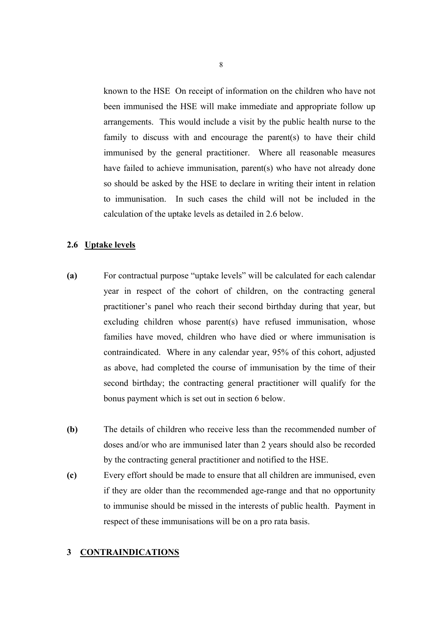known to the HSE On receipt of information on the children who have not been immunised the HSE will make immediate and appropriate follow up arrangements. This would include a visit by the public health nurse to the family to discuss with and encourage the parent(s) to have their child immunised by the general practitioner. Where all reasonable measures have failed to achieve immunisation, parent(s) who have not already done so should be asked by the HSE to declare in writing their intent in relation to immunisation. In such cases the child will not be included in the calculation of the uptake levels as detailed in 2.6 below.

### **2.6 Uptake levels**

- **(a)** For contractual purpose "uptake levels" will be calculated for each calendar year in respect of the cohort of children, on the contracting general practitioner's panel who reach their second birthday during that year, but excluding children whose parent(s) have refused immunisation, whose families have moved, children who have died or where immunisation is contraindicated. Where in any calendar year, 95% of this cohort, adjusted as above, had completed the course of immunisation by the time of their second birthday; the contracting general practitioner will qualify for the bonus payment which is set out in section 6 below.
- **(b)** The details of children who receive less than the recommended number of doses and/or who are immunised later than 2 years should also be recorded by the contracting general practitioner and notified to the HSE.
- **(c)** Every effort should be made to ensure that all children are immunised, even if they are older than the recommended age-range and that no opportunity to immunise should be missed in the interests of public health. Payment in respect of these immunisations will be on a pro rata basis.

### **3 CONTRAINDICATIONS**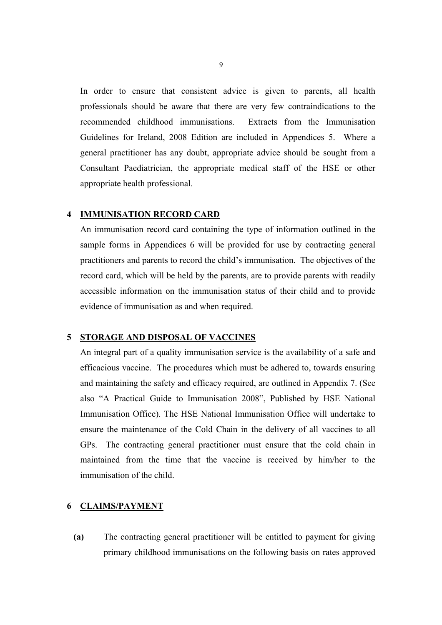In order to ensure that consistent advice is given to parents, all health professionals should be aware that there are very few contraindications to the recommended childhood immunisations. Extracts from the Immunisation Guidelines for Ireland, 2008 Edition are included in Appendices 5. Where a general practitioner has any doubt, appropriate advice should be sought from a Consultant Paediatrician, the appropriate medical staff of the HSE or other appropriate health professional.

### **4 IMMUNISATION RECORD CARD**

An immunisation record card containing the type of information outlined in the sample forms in Appendices 6 will be provided for use by contracting general practitioners and parents to record the child's immunisation. The objectives of the record card, which will be held by the parents, are to provide parents with readily accessible information on the immunisation status of their child and to provide evidence of immunisation as and when required.

### **5 STORAGE AND DISPOSAL OF VACCINES**

An integral part of a quality immunisation service is the availability of a safe and efficacious vaccine. The procedures which must be adhered to, towards ensuring and maintaining the safety and efficacy required, are outlined in Appendix 7. (See also "A Practical Guide to Immunisation 2008", Published by HSE National Immunisation Office). The HSE National Immunisation Office will undertake to ensure the maintenance of the Cold Chain in the delivery of all vaccines to all GPs. The contracting general practitioner must ensure that the cold chain in maintained from the time that the vaccine is received by him/her to the immunisation of the child.

#### **6 CLAIMS/PAYMENT**

**(a)** The contracting general practitioner will be entitled to payment for giving primary childhood immunisations on the following basis on rates approved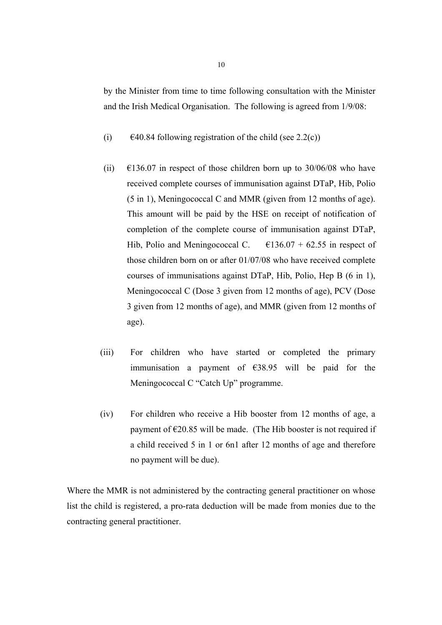by the Minister from time to time following consultation with the Minister and the Irish Medical Organisation. The following is agreed from 1/9/08:

- (i)  $\epsilon$ 40.84 following registration of the child (see 2.2(c))
- (ii)  $\epsilon$ 136.07 in respect of those children born up to 30/06/08 who have received complete courses of immunisation against DTaP, Hib, Polio (5 in 1), Meningococcal C and MMR (given from 12 months of age). This amount will be paid by the HSE on receipt of notification of completion of the complete course of immunisation against DTaP, Hib, Polio and Meningococcal C.  $\epsilon$ 136.07 + 62.55 in respect of those children born on or after 01/07/08 who have received complete courses of immunisations against DTaP, Hib, Polio, Hep B (6 in 1), Meningococcal C (Dose 3 given from 12 months of age), PCV (Dose 3 given from 12 months of age), and MMR (given from 12 months of age).
- (iii) For children who have started or completed the primary immunisation a payment of €38.95 will be paid for the Meningococcal C "Catch Up" programme.
- (iv) For children who receive a Hib booster from 12 months of age, a payment of  $\epsilon$ 20.85 will be made. (The Hib booster is not required if a child received 5 in 1 or 6n1 after 12 months of age and therefore no payment will be due).

Where the MMR is not administered by the contracting general practitioner on whose list the child is registered, a pro-rata deduction will be made from monies due to the contracting general practitioner.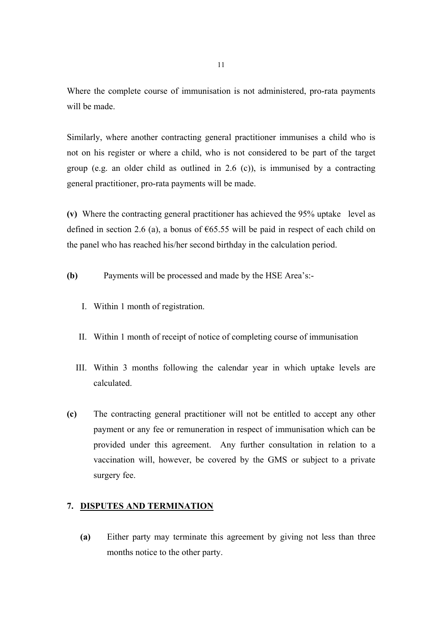Where the complete course of immunisation is not administered, pro-rata payments will be made.

Similarly, where another contracting general practitioner immunises a child who is not on his register or where a child, who is not considered to be part of the target group (e.g. an older child as outlined in 2.6 (c)), is immunised by a contracting general practitioner, pro-rata payments will be made.

**(v)** Where the contracting general practitioner has achieved the 95% uptake level as defined in section 2.6 (a), a bonus of  $\epsilon$ 65.55 will be paid in respect of each child on the panel who has reached his/her second birthday in the calculation period.

**(b)** Payments will be processed and made by the HSE Area's:-

- I. Within 1 month of registration.
- II. Within 1 month of receipt of notice of completing course of immunisation
- III. Within 3 months following the calendar year in which uptake levels are calculated.
- **(c)** The contracting general practitioner will not be entitled to accept any other payment or any fee or remuneration in respect of immunisation which can be provided under this agreement. Any further consultation in relation to a vaccination will, however, be covered by the GMS or subject to a private surgery fee.

### **7. DISPUTES AND TERMINATION**

**(a)** Either party may terminate this agreement by giving not less than three months notice to the other party.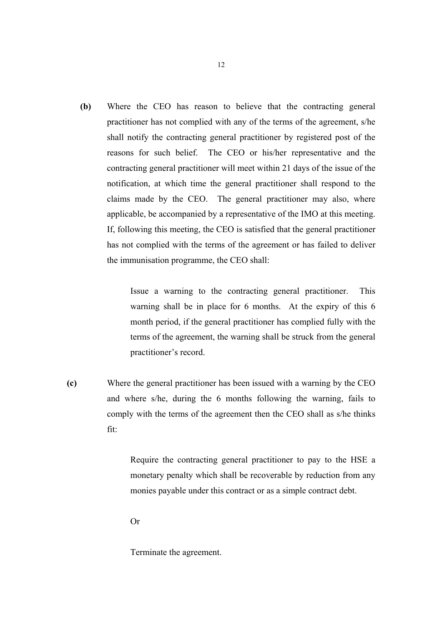**(b)** Where the CEO has reason to believe that the contracting general practitioner has not complied with any of the terms of the agreement, s/he shall notify the contracting general practitioner by registered post of the reasons for such belief. The CEO or his/her representative and the contracting general practitioner will meet within 21 days of the issue of the notification, at which time the general practitioner shall respond to the claims made by the CEO. The general practitioner may also, where applicable, be accompanied by a representative of the IMO at this meeting. If, following this meeting, the CEO is satisfied that the general practitioner has not complied with the terms of the agreement or has failed to deliver the immunisation programme, the CEO shall:

> Issue a warning to the contracting general practitioner. This warning shall be in place for 6 months. At the expiry of this 6 month period, if the general practitioner has complied fully with the terms of the agreement, the warning shall be struck from the general practitioner's record.

**(c)** Where the general practitioner has been issued with a warning by the CEO and where s/he, during the 6 months following the warning, fails to comply with the terms of the agreement then the CEO shall as s/he thinks fit:

> Require the contracting general practitioner to pay to the HSE a monetary penalty which shall be recoverable by reduction from any monies payable under this contract or as a simple contract debt.

Or

Terminate the agreement.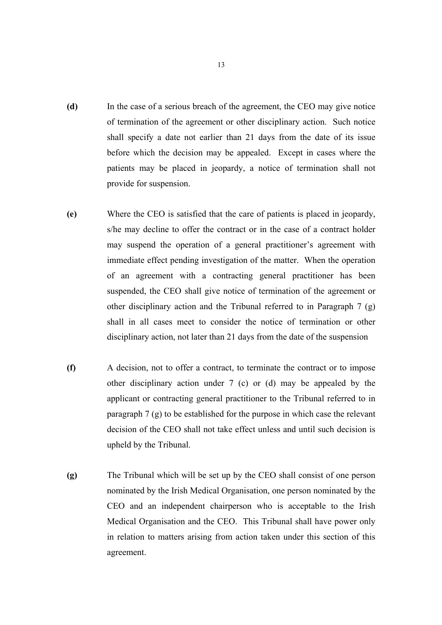- **(d)** In the case of a serious breach of the agreement, the CEO may give notice of termination of the agreement or other disciplinary action. Such notice shall specify a date not earlier than 21 days from the date of its issue before which the decision may be appealed. Except in cases where the patients may be placed in jeopardy, a notice of termination shall not provide for suspension.
- **(e)** Where the CEO is satisfied that the care of patients is placed in jeopardy, s/he may decline to offer the contract or in the case of a contract holder may suspend the operation of a general practitioner's agreement with immediate effect pending investigation of the matter. When the operation of an agreement with a contracting general practitioner has been suspended, the CEO shall give notice of termination of the agreement or other disciplinary action and the Tribunal referred to in Paragraph 7 (g) shall in all cases meet to consider the notice of termination or other disciplinary action, not later than 21 days from the date of the suspension
- **(f)** A decision, not to offer a contract, to terminate the contract or to impose other disciplinary action under 7 (c) or (d) may be appealed by the applicant or contracting general practitioner to the Tribunal referred to in paragraph 7 (g) to be established for the purpose in which case the relevant decision of the CEO shall not take effect unless and until such decision is upheld by the Tribunal.
- **(g)** The Tribunal which will be set up by the CEO shall consist of one person nominated by the Irish Medical Organisation, one person nominated by the CEO and an independent chairperson who is acceptable to the Irish Medical Organisation and the CEO. This Tribunal shall have power only in relation to matters arising from action taken under this section of this agreement.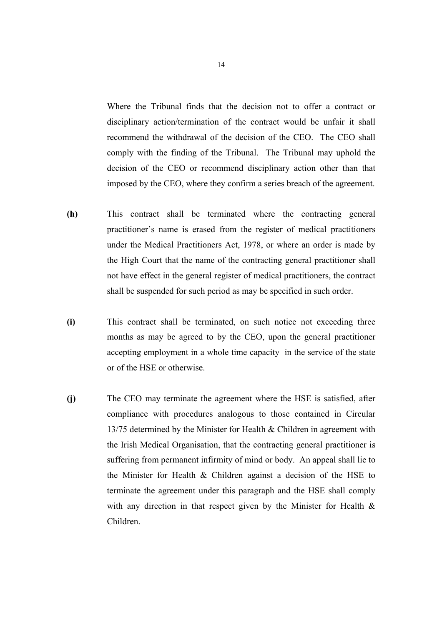Where the Tribunal finds that the decision not to offer a contract or disciplinary action/termination of the contract would be unfair it shall recommend the withdrawal of the decision of the CEO. The CEO shall comply with the finding of the Tribunal. The Tribunal may uphold the decision of the CEO or recommend disciplinary action other than that imposed by the CEO, where they confirm a series breach of the agreement.

- **(h)** This contract shall be terminated where the contracting general practitioner's name is erased from the register of medical practitioners under the Medical Practitioners Act, 1978, or where an order is made by the High Court that the name of the contracting general practitioner shall not have effect in the general register of medical practitioners, the contract shall be suspended for such period as may be specified in such order.
- **(i)** This contract shall be terminated, on such notice not exceeding three months as may be agreed to by the CEO, upon the general practitioner accepting employment in a whole time capacity in the service of the state or of the HSE or otherwise.
- **(j)** The CEO may terminate the agreement where the HSE is satisfied, after compliance with procedures analogous to those contained in Circular 13/75 determined by the Minister for Health & Children in agreement with the Irish Medical Organisation, that the contracting general practitioner is suffering from permanent infirmity of mind or body. An appeal shall lie to the Minister for Health & Children against a decision of the HSE to terminate the agreement under this paragraph and the HSE shall comply with any direction in that respect given by the Minister for Health  $\&$ Children.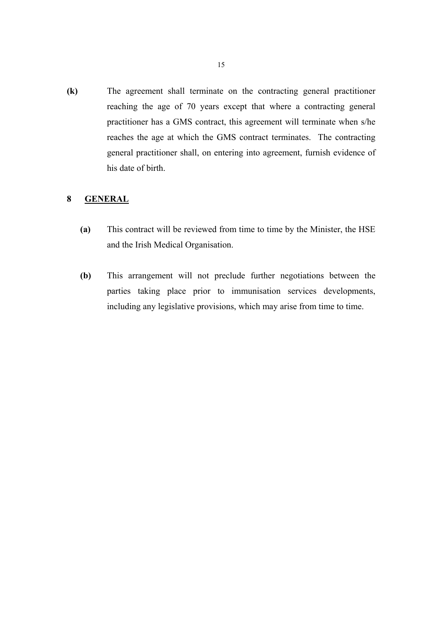**(k)** The agreement shall terminate on the contracting general practitioner reaching the age of 70 years except that where a contracting general practitioner has a GMS contract, this agreement will terminate when s/he reaches the age at which the GMS contract terminates. The contracting general practitioner shall, on entering into agreement, furnish evidence of his date of birth.

### **8 GENERAL**

- **(a)** This contract will be reviewed from time to time by the Minister, the HSE and the Irish Medical Organisation.
- **(b)** This arrangement will not preclude further negotiations between the parties taking place prior to immunisation services developments, including any legislative provisions, which may arise from time to time.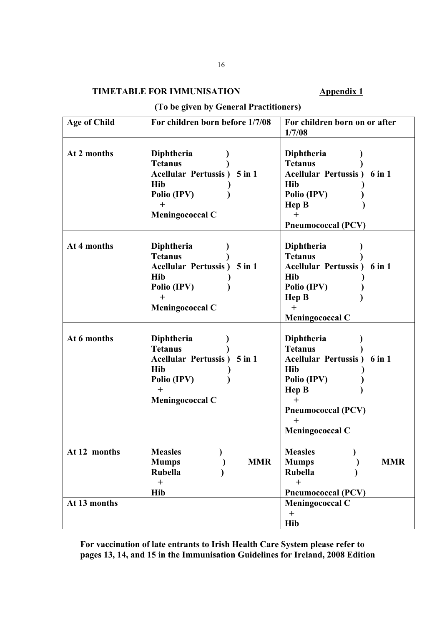### **TIMETABLE FOR IMMUNISATION Appendix 1**

| <b>Age of Child</b> | For children born before 1/7/08                                                                                                      | For children born on or after<br>1/7/08                                                                                                                                       |
|---------------------|--------------------------------------------------------------------------------------------------------------------------------------|-------------------------------------------------------------------------------------------------------------------------------------------------------------------------------|
| At 2 months         | Diphtheria<br><b>Tetanus</b><br><b>Acellular Pertussis</b> ) 5 in 1<br><b>Hib</b><br>Polio (IPV)<br>$\pm$<br>Meningococcal C         | Diphtheria<br><b>Tetanus</b><br><b>Acellular Pertussis</b> ) 6 in 1<br>Hib<br>Polio (IPV)<br>Hep B<br>$^{+}$<br><b>Pneumococcal (PCV)</b>                                     |
| At 4 months         | Diphtheria<br><b>Tetanus</b><br><b>Acellular Pertussis</b> ) 5 in 1<br><b>Hib</b><br>Polio (IPV)<br>$\pm$<br><b>Meningococcal C</b>  | Diphtheria<br><b>Tetanus</b><br><b>Acellular Pertussis</b> ) 6 in 1<br><b>Hib</b><br>Polio (IPV)<br>Hep B<br>$^{+}$<br><b>Meningococcal C</b>                                 |
| At 6 months         | Diphtheria<br><b>Tetanus</b><br><b>Acellular Pertussis</b> ) 5 in 1<br><b>Hib</b><br>Polio (IPV)<br>$^{+}$<br><b>Meningococcal C</b> | Diphtheria<br><b>Tetanus</b><br><b>Acellular Pertussis</b> ) 6 in 1<br>Hib<br>Polio (IPV)<br>Hep B<br>$^{+}$<br><b>Pneumococcal (PCV)</b><br>$^{+}$<br><b>Meningococcal C</b> |
| At 12 months        | <b>Measles</b><br><b>MMR</b><br><b>Mumps</b><br>Rubella<br>$+$<br>Hib                                                                | <b>Measles</b><br><b>MMR</b><br><b>Mumps</b><br>Rubella<br>$+$<br><b>Pneumococcal (PCV)</b>                                                                                   |
| At 13 months        |                                                                                                                                      | Meningococcal C                                                                                                                                                               |

### **(To be given by General Practitioners)**

**For vaccination of late entrants to Irish Health Care System please refer to pages 13, 14, and 15 in the Immunisation Guidelines for Ireland, 2008 Edition** 

 **+ Hib**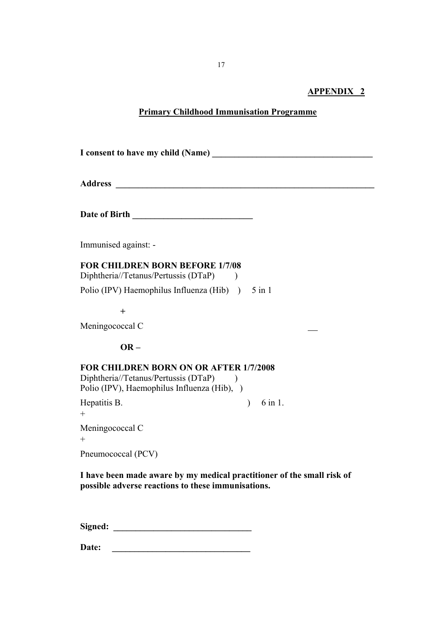# **Primary Childhood Immunisation Programme**

| I consent to have my child (Name)                                                                                                    |
|--------------------------------------------------------------------------------------------------------------------------------------|
| <b>Address</b>                                                                                                                       |
|                                                                                                                                      |
| Immunised against: -                                                                                                                 |
| <b>FOR CHILDREN BORN BEFORE 1/7/08</b><br>Diphtheria//Tetanus/Pertussis (DTaP)<br>$\lambda$                                          |
| Polio (IPV) Haemophilus Influenza (Hib) ) 5 in 1                                                                                     |
| $^{+}$                                                                                                                               |
| Meningococcal C                                                                                                                      |
| $OR -$                                                                                                                               |
| <b>FOR CHILDREN BORN ON OR AFTER 1/7/2008</b><br>Diphtheria//Tetanus/Pertussis (DTaP)<br>Polio (IPV), Haemophilus Influenza (Hib), ) |
| 6 in 1.<br>Hepatitis B.<br>$\mathcal{E}$<br>$+$                                                                                      |
| Meningococcal C<br>$^{+}$                                                                                                            |
| Pneumococcal (PCV)                                                                                                                   |
| I have been made aware by my medical practitioner of the small risk of<br>possible adverse reactions to these immunisations.         |

**Signed: \_\_\_\_\_\_\_\_\_\_\_\_\_\_\_\_\_\_\_\_\_\_\_\_\_\_\_\_\_\_\_** 

**Date: \_\_\_\_\_\_\_\_\_\_\_\_\_\_\_\_\_\_\_\_\_\_\_\_\_\_\_\_\_\_\_**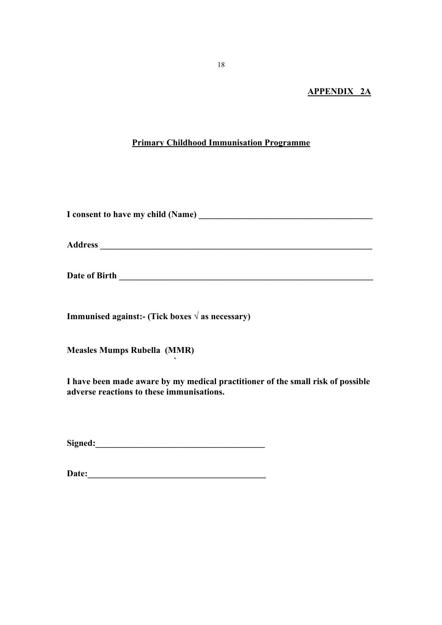### **APPENDIX 2A**

### **Primary Childhood Immunisation Programme**

**I** consent to have my child (Name)

**Address \_\_\_\_\_\_\_\_\_\_\_\_\_\_\_\_\_\_\_\_\_\_\_\_\_\_\_\_\_\_\_\_\_\_\_\_\_\_\_\_\_\_\_\_\_\_\_\_\_\_\_\_\_\_\_\_\_\_\_\_\_** 

Date of Birth **Exercise 2.2 and 2.4 and 2.4 and 2.4 and 2.4 and 2.4 and 2.4 and 2.4 and 2.4 and 2.4 and 2.4 and 2.4 and 2.4 and 2.4 and 2.4 and 2.4 and 2.4 and 2.4 and 2.4 and 2.4 and 2.4 and 2.4 and 2.4 and 2.4 and 2.4 an** 

**Immunised against:- (Tick boxes √ as necessary)** 

**`** 

**Measles Mumps Rubella (MMR)** 

**I have been made aware by my medical practitioner of the small risk of possible adverse reactions to these immunisations.** 

**Signed:\_\_\_\_\_\_\_\_\_\_\_\_\_\_\_\_\_\_\_\_\_\_\_\_\_\_\_\_\_\_\_\_\_\_\_\_\_\_** 

Date: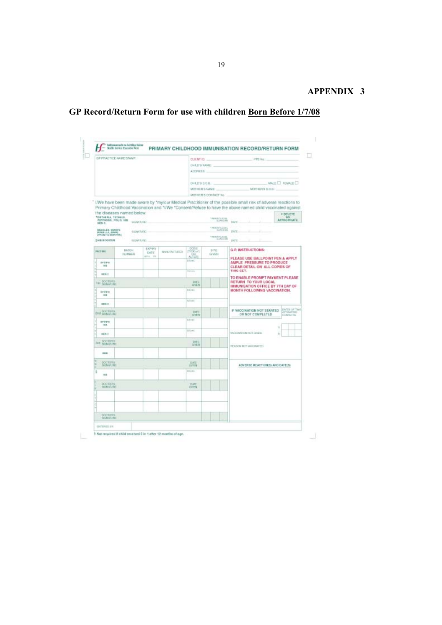# **GP Record/Return Form for use with children Born Before 1/7/08**

| GP PRACTICE AAMS STAMP:                                 |                                       |                               |                                                                                              | PPS No.<br>CLICATION                         |                      |                                                                                                                                                                                                                           |  |          |             |
|---------------------------------------------------------|---------------------------------------|-------------------------------|----------------------------------------------------------------------------------------------|----------------------------------------------|----------------------|---------------------------------------------------------------------------------------------------------------------------------------------------------------------------------------------------------------------------|--|----------|-------------|
|                                                         |                                       |                               |                                                                                              | CHILD'S NAME                                 |                      |                                                                                                                                                                                                                           |  |          |             |
|                                                         |                                       |                               |                                                                                              | Aftriministic                                |                      |                                                                                                                                                                                                                           |  |          |             |
|                                                         |                                       |                               |                                                                                              | CHED'S D.O.B.                                |                      |                                                                                                                                                                                                                           |  |          | MALE TEMALE |
|                                                         |                                       |                               |                                                                                              | MOTHER'S NAME:                               |                      | <b>MOTHER'S D.D.B.</b>                                                                                                                                                                                                    |  |          |             |
|                                                         |                                       |                               |                                                                                              |                                              | MITHER'S CONTACT No. |                                                                                                                                                                                                                           |  |          |             |
|                                                         |                                       |                               |                                                                                              |                                              |                      | I/We have been made aware by "my/our Medical Practitioner of the possible small risk of adverse reactions to<br>Primary Childhood Vaccination and "I/We "Consent/Fieluse to have the above named child vaccinated against |  |          |             |
| *GPTHERIA, TETANUR,<br>PERTUSSIS, POLIC, NIEL<br>MEN E. | the diseases named below.<br>MONTURE: |                               |                                                                                              |                                              | <b>PER STARTED</b>   | <b>DATE</b>                                                                                                                                                                                                               |  | # DELETE | APPROPRIATE |
|                                                         | GONTURE                               |                               |                                                                                              |                                              | THE REPORTED HE      | pare.                                                                                                                                                                                                                     |  |          |             |
| MEASLES MARPS<br>PERELLA SMARE<br>(PROM 12 HONTHS)      |                                       |                               |                                                                                              |                                              | <b>TANKSHOW</b>      |                                                                                                                                                                                                                           |  |          |             |
| <b>SHIR INDORTHR</b>                                    | SQMT/IE:                              |                               |                                                                                              |                                              |                      | DATE:                                                                                                                                                                                                                     |  |          |             |
| WEEBER                                                  | <b>EATCH</b><br>NUMBER                | EXPIRY<br>ourie<br>arres, vic | <b>MAIL/PACTURER</b>                                                                         | DOS:<br><b>TICK W1</b><br>OR<br><b>ALTER</b> | SITE:<br>GOVEN       | G.P. INSTRUCTIONS:<br>PLEASE USE BALLPOINT PEN & APPLY<br>AMPLE PRESSURE TO PRODUCE<br>CLEAR DETAIL ON ALL COPIES OF                                                                                                      |  |          |             |
| ariwe<br><b>HE</b>                                      |                                       |                               |                                                                                              | $0.6$ m <sup>2</sup>                         |                      |                                                                                                                                                                                                                           |  |          |             |
| <b>RENT</b>                                             |                                       |                               |                                                                                              | <b>Gilbert</b>                               |                      | THIS SET.                                                                                                                                                                                                                 |  |          |             |
| THE DOCTORS<br><b>IMTH</b><br><b>GNEM</b>               |                                       |                               | TO ENABLE PROMPT PAYMENT PLEASE<br>RETURN TO YOUR LOCAL<br>IMMUNISATION OFFICE BY 7TH DAY OF |                                              |                      |                                                                                                                                                                                                                           |  |          |             |
| BFUCH.<br>$-0.8$                                        |                                       |                               |                                                                                              | 0.5 m1                                       |                      | MONTH FOLLOWING VACCINATION.                                                                                                                                                                                              |  |          |             |
| 実施をと                                                    |                                       |                               |                                                                                              | <b>GSR4</b>                                  |                      |                                                                                                                                                                                                                           |  |          |             |
| <b>ZIVI DOCTORS</b>                                     |                                       |                               |                                                                                              | DATE.<br>prette<br>0.8-ml                    |                      | DATES OF TWO<br># WACCINATION NOT STARTED<br>ATTEMPTED<br>DR NOT COMPLETED<br>CONTACTO                                                                                                                                    |  |          |             |
| SFVPH<br>HX.                                            |                                       |                               |                                                                                              |                                              |                      | WAS TOTAL TOTAL HEAT AND<br>ži.                                                                                                                                                                                           |  |          |             |
| <b>RENT</b>                                             |                                       |                               |                                                                                              | 0.5 ml                                       |                      |                                                                                                                                                                                                                           |  |          |             |
| <b>Brd BEROKUTE</b>                                     |                                       |                               |                                                                                              | IME<br>121631                                |                      | REASON BUT VALUABLED.                                                                                                                                                                                                     |  |          |             |
| <b>IREST</b>                                            |                                       |                               |                                                                                              |                                              |                      |                                                                                                                                                                                                                           |  |          |             |
| DOCTORES<br>ALCOHOL: PE                                 |                                       |                               |                                                                                              | 1981<br><b>SUVEN</b>                         |                      | ADVERSE REACTIONIS) AND DATEIS:                                                                                                                                                                                           |  |          |             |
| s<br>$-10$                                              |                                       |                               |                                                                                              | 0.5 mi                                       |                      |                                                                                                                                                                                                                           |  |          |             |
| <b>DOCTOFS</b><br>NUMBER                                |                                       |                               |                                                                                              | <b>JIMTE</b><br><b>ZUVPN</b>                 |                      |                                                                                                                                                                                                                           |  |          |             |
|                                                         |                                       |                               |                                                                                              |                                              |                      |                                                                                                                                                                                                                           |  |          |             |
| DOOTURES                                                |                                       |                               |                                                                                              |                                              |                      |                                                                                                                                                                                                                           |  |          |             |
|                                                         |                                       |                               |                                                                                              |                                              |                      |                                                                                                                                                                                                                           |  |          |             |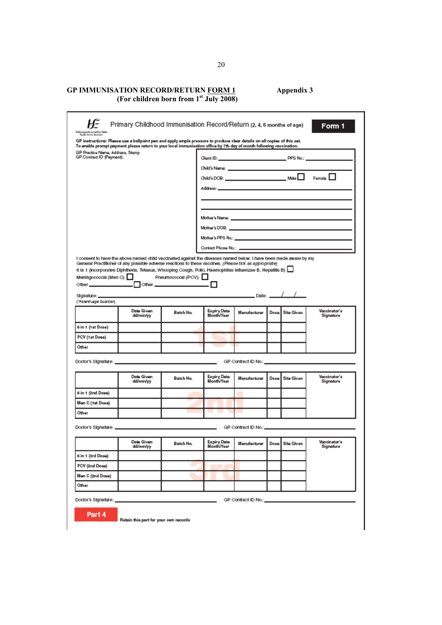

| Bull Jevin Insubs                                             | Primary Childhood Immunisation Record/Return (2, 4, 6 months of age)<br>GP instructions: Please use a ballpoint pen and apply ample pressure to produce clear details on all copies of this set.<br>To enable prompt payment please return to your local immunisation office by 7th day of month following vaccination.                  |                     |                                  |                                                                                                                        |      |            | Form 1                    |
|---------------------------------------------------------------|------------------------------------------------------------------------------------------------------------------------------------------------------------------------------------------------------------------------------------------------------------------------------------------------------------------------------------------|---------------------|----------------------------------|------------------------------------------------------------------------------------------------------------------------|------|------------|---------------------------|
| GP Practice Name, Address, Stamp<br>GP Contract ID (Payment): |                                                                                                                                                                                                                                                                                                                                          |                     |                                  |                                                                                                                        |      |            |                           |
|                                                               |                                                                                                                                                                                                                                                                                                                                          |                     |                                  |                                                                                                                        |      |            |                           |
|                                                               |                                                                                                                                                                                                                                                                                                                                          |                     |                                  |                                                                                                                        |      |            |                           |
|                                                               |                                                                                                                                                                                                                                                                                                                                          |                     |                                  |                                                                                                                        |      |            | Female $\Box$             |
|                                                               |                                                                                                                                                                                                                                                                                                                                          |                     |                                  |                                                                                                                        |      |            |                           |
|                                                               |                                                                                                                                                                                                                                                                                                                                          |                     |                                  |                                                                                                                        |      |            |                           |
|                                                               |                                                                                                                                                                                                                                                                                                                                          |                     |                                  |                                                                                                                        |      |            |                           |
|                                                               |                                                                                                                                                                                                                                                                                                                                          |                     |                                  |                                                                                                                        |      |            |                           |
|                                                               |                                                                                                                                                                                                                                                                                                                                          |                     |                                  |                                                                                                                        |      |            |                           |
|                                                               |                                                                                                                                                                                                                                                                                                                                          |                     |                                  |                                                                                                                        |      |            |                           |
|                                                               |                                                                                                                                                                                                                                                                                                                                          |                     |                                  |                                                                                                                        |      |            |                           |
| Meningococcal (Men C):                                        | I consent to have the above named child vaccinated against the diseases named below. I have been made aware by my<br>General Practitioner of any possible adverse reactions to these vaccines. (Please tick as appropriate)<br>6 in 1 (incorporates Diphtheria, Tetanus, Whooping Cough, Polio, Haemophilus Influenzae B, Hepatitis B) _ | Pneumococcal (PCV): |                                  |                                                                                                                        |      |            |                           |
| Signature: ▂▂                                                 |                                                                                                                                                                                                                                                                                                                                          |                     |                                  | <b>Date: Date: 2006 - Date: 2006 - Date: 2006 - 2007 - 2008 - 2008 - 2008 - 2008 - 2008 - 2008 - 2008 - 2008 - 200</b> |      |            |                           |
| ("Parent/Legal Guardian)                                      |                                                                                                                                                                                                                                                                                                                                          |                     |                                  |                                                                                                                        |      |            |                           |
|                                                               | Date Given<br>dd/mm/yy                                                                                                                                                                                                                                                                                                                   | Batch No.           | Expiry Date<br>Month/Year        | Manufacturer                                                                                                           | Dose | Site Given | Vaccinator's<br>Signature |
| 6 in 1 (1st Dose)                                             |                                                                                                                                                                                                                                                                                                                                          |                     |                                  |                                                                                                                        |      |            |                           |
| PCV (1st Dose)                                                |                                                                                                                                                                                                                                                                                                                                          |                     |                                  |                                                                                                                        |      |            |                           |
| Other                                                         |                                                                                                                                                                                                                                                                                                                                          |                     |                                  |                                                                                                                        |      |            |                           |
|                                                               |                                                                                                                                                                                                                                                                                                                                          |                     |                                  | GP Contract ID No.:                                                                                                    |      |            |                           |
|                                                               | Date Given<br>dd/mm/yy                                                                                                                                                                                                                                                                                                                   | Batch No.           | Expiry Date<br>Month/Year        | Manufacturer                                                                                                           | Dose | Site Given | Vaccinator's<br>Signature |
| 6 in 1 (2nd Dose)                                             |                                                                                                                                                                                                                                                                                                                                          |                     |                                  |                                                                                                                        |      |            |                           |
| Men C (1st Dose)                                              |                                                                                                                                                                                                                                                                                                                                          |                     |                                  |                                                                                                                        |      |            |                           |
| Other                                                         |                                                                                                                                                                                                                                                                                                                                          |                     |                                  |                                                                                                                        |      |            |                           |
| Doctor's Signature:                                           |                                                                                                                                                                                                                                                                                                                                          |                     |                                  | GP Contract ID No.: ______                                                                                             |      |            |                           |
|                                                               | Date Given<br>dd/mm/yy                                                                                                                                                                                                                                                                                                                   | Batch No.           | <b>Expiry Date</b><br>Month/Year | Manufacturer Dose Site Given                                                                                           |      |            | Vaccinator's<br>Signature |
| 6 in 1 (3rd Dose)                                             |                                                                                                                                                                                                                                                                                                                                          |                     |                                  |                                                                                                                        |      |            |                           |
| PCV (2nd Dose)                                                |                                                                                                                                                                                                                                                                                                                                          |                     |                                  |                                                                                                                        |      |            |                           |
| Men C (2nd Dose)                                              |                                                                                                                                                                                                                                                                                                                                          |                     |                                  |                                                                                                                        |      |            |                           |
| Other                                                         |                                                                                                                                                                                                                                                                                                                                          |                     |                                  |                                                                                                                        |      |            |                           |
| Doctor's Signature:                                           |                                                                                                                                                                                                                                                                                                                                          |                     |                                  | GP Contract ID No.:                                                                                                    |      |            |                           |
| Part 4                                                        | Retain this part for your own records                                                                                                                                                                                                                                                                                                    |                     |                                  |                                                                                                                        |      |            |                           |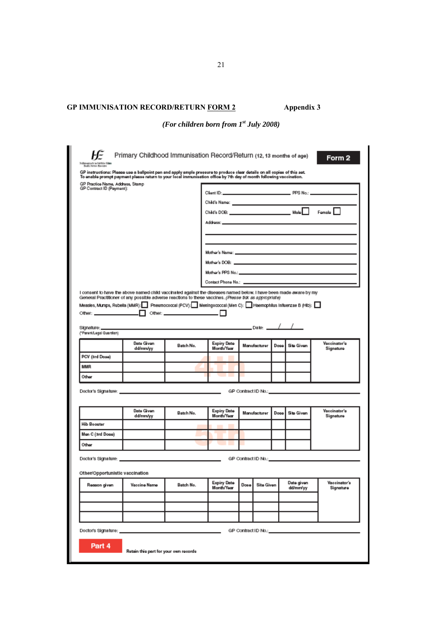# GP IMMUNISATION RECORD/RETURN FORM 2 **Appendix 3**

### *(For children born from 1st July 2008)*

|                                                                      | GP instructions: Please use a ballpoint pen and apply ample pressure to produce clear details on all copies of this set.<br>To enable prompt payment please return to your local immunisation office by 7th day of month followin |           |                                                                                                                                                                                                                                |      |                                |      |                        |                                                                                                                                                                                                                               |
|----------------------------------------------------------------------|-----------------------------------------------------------------------------------------------------------------------------------------------------------------------------------------------------------------------------------|-----------|--------------------------------------------------------------------------------------------------------------------------------------------------------------------------------------------------------------------------------|------|--------------------------------|------|------------------------|-------------------------------------------------------------------------------------------------------------------------------------------------------------------------------------------------------------------------------|
| GP Practice Name, Address, Stamp<br><b>GP Contract ID (Payment):</b> |                                                                                                                                                                                                                                   |           |                                                                                                                                                                                                                                |      |                                |      |                        | Client ID: PPS No.: PPS No.: PPS No.: PPS No.: PPS No.: PPS No.: PPS No.: PPS No.: PPS No.: PPS No.: PPS No.: PPS No.: PPS No.: PPS No.: PPS No.: PPS No.: PPS No.: PPS No.: PPS No.: PPS No.: PPS No.: PPS No.: PPS No.: PPS |
|                                                                      |                                                                                                                                                                                                                                   |           | Child's Name: ____________________________                                                                                                                                                                                     |      |                                |      |                        |                                                                                                                                                                                                                               |
|                                                                      |                                                                                                                                                                                                                                   |           |                                                                                                                                                                                                                                |      |                                |      |                        | Female                                                                                                                                                                                                                        |
|                                                                      |                                                                                                                                                                                                                                   |           |                                                                                                                                                                                                                                |      |                                |      |                        |                                                                                                                                                                                                                               |
|                                                                      |                                                                                                                                                                                                                                   |           |                                                                                                                                                                                                                                |      |                                |      |                        |                                                                                                                                                                                                                               |
|                                                                      |                                                                                                                                                                                                                                   |           |                                                                                                                                                                                                                                |      |                                |      |                        |                                                                                                                                                                                                                               |
|                                                                      |                                                                                                                                                                                                                                   |           |                                                                                                                                                                                                                                |      |                                |      |                        |                                                                                                                                                                                                                               |
|                                                                      |                                                                                                                                                                                                                                   |           | Mother's DOB: New York Contract and Contract Contract Contract Contract Contract Contract Contract Contract Contract Contract Contract Contract Contract Contract Contract Contract Contract Contract Contract Contract Contra |      |                                |      |                        |                                                                                                                                                                                                                               |
|                                                                      |                                                                                                                                                                                                                                   |           |                                                                                                                                                                                                                                |      |                                |      |                        |                                                                                                                                                                                                                               |
|                                                                      |                                                                                                                                                                                                                                   |           | Contact Phone No.: __________                                                                                                                                                                                                  |      |                                |      |                        |                                                                                                                                                                                                                               |
|                                                                      | I consent to have the above named child vaccinated against the diseases named below. I have been made aware by my<br>General Practitioner of any possible adverse reactions to these vaccines. (Please tick as appropriate)       |           |                                                                                                                                                                                                                                |      |                                |      |                        |                                                                                                                                                                                                                               |
|                                                                      | Measles, Mumps, Rubella (MMR): Pneumococcal (PCV): Meningococcal (Men C): I Haemophius Influenzae B (Hb): I                                                                                                                       |           |                                                                                                                                                                                                                                |      |                                |      |                        |                                                                                                                                                                                                                               |
|                                                                      |                                                                                                                                                                                                                                   |           |                                                                                                                                                                                                                                |      |                                |      |                        |                                                                                                                                                                                                                               |
| Signature: __                                                        |                                                                                                                                                                                                                                   |           |                                                                                                                                                                                                                                |      |                                |      |                        |                                                                                                                                                                                                                               |
| ("Parent/Legal Guardian)                                             |                                                                                                                                                                                                                                   |           |                                                                                                                                                                                                                                |      |                                |      |                        |                                                                                                                                                                                                                               |
|                                                                      | Date Given<br>dd/mm/yy                                                                                                                                                                                                            | Batch No. | <b>Expiry Date</b><br>Month/Year                                                                                                                                                                                               |      | Manufacturer                   | Dose | Site Given             | Vaccinator's<br>Signature                                                                                                                                                                                                     |
| PCV (3rd Dose)                                                       |                                                                                                                                                                                                                                   |           |                                                                                                                                                                                                                                |      |                                |      |                        |                                                                                                                                                                                                                               |
| <b>MMR</b>                                                           |                                                                                                                                                                                                                                   |           |                                                                                                                                                                                                                                |      |                                |      |                        |                                                                                                                                                                                                                               |
| Other                                                                |                                                                                                                                                                                                                                   |           | . .                                                                                                                                                                                                                            |      |                                |      |                        |                                                                                                                                                                                                                               |
|                                                                      |                                                                                                                                                                                                                                   |           |                                                                                                                                                                                                                                |      |                                |      |                        |                                                                                                                                                                                                                               |
|                                                                      |                                                                                                                                                                                                                                   |           |                                                                                                                                                                                                                                |      |                                |      |                        |                                                                                                                                                                                                                               |
|                                                                      | Date Given<br>dd/mm/yy                                                                                                                                                                                                            | Batch No. | <b>Expiry Date</b><br>Month/Year                                                                                                                                                                                               |      | Manufacturer                   | Dose | Site Given             | Vaccinator's<br>Signature                                                                                                                                                                                                     |
| <b>Hib Booster</b>                                                   |                                                                                                                                                                                                                                   |           | - -                                                                                                                                                                                                                            |      |                                |      |                        |                                                                                                                                                                                                                               |
| Men C (3rd Dose)                                                     |                                                                                                                                                                                                                                   |           |                                                                                                                                                                                                                                |      |                                |      |                        |                                                                                                                                                                                                                               |
| Other                                                                |                                                                                                                                                                                                                                   |           |                                                                                                                                                                                                                                |      |                                |      |                        |                                                                                                                                                                                                                               |
| Doctor's Signature: __                                               |                                                                                                                                                                                                                                   |           |                                                                                                                                                                                                                                |      | GP Contract ID No.: __________ |      |                        |                                                                                                                                                                                                                               |
|                                                                      |                                                                                                                                                                                                                                   |           |                                                                                                                                                                                                                                |      |                                |      |                        |                                                                                                                                                                                                                               |
| Other/Opportunistic vaccination                                      |                                                                                                                                                                                                                                   |           |                                                                                                                                                                                                                                |      |                                |      |                        |                                                                                                                                                                                                                               |
| Reason given                                                         | Vaccine Name                                                                                                                                                                                                                      | Batch No. | <b>Expiry Date</b><br>Month/Year                                                                                                                                                                                               | Dose | Site Given                     |      | Date given<br>dd/mm/yy | Vaccinator's<br>Signature                                                                                                                                                                                                     |
|                                                                      |                                                                                                                                                                                                                                   |           |                                                                                                                                                                                                                                |      |                                |      |                        |                                                                                                                                                                                                                               |
|                                                                      |                                                                                                                                                                                                                                   |           |                                                                                                                                                                                                                                |      |                                |      |                        |                                                                                                                                                                                                                               |
|                                                                      |                                                                                                                                                                                                                                   |           |                                                                                                                                                                                                                                |      |                                |      |                        |                                                                                                                                                                                                                               |
|                                                                      |                                                                                                                                                                                                                                   |           |                                                                                                                                                                                                                                |      |                                |      |                        |                                                                                                                                                                                                                               |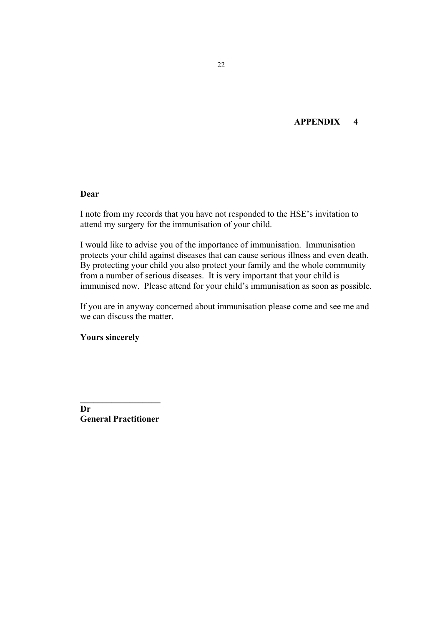### **Dear**

I note from my records that you have not responded to the HSE's invitation to attend my surgery for the immunisation of your child.

I would like to advise you of the importance of immunisation. Immunisation protects your child against diseases that can cause serious illness and even death. By protecting your child you also protect your family and the whole community from a number of serious diseases. It is very important that your child is immunised now. Please attend for your child's immunisation as soon as possible.

If you are in anyway concerned about immunisation please come and see me and we can discuss the matter.

**Yours sincerely** 

**Dr General Practitioner** 

**\_\_\_\_\_\_\_\_\_\_\_\_\_\_\_\_\_\_**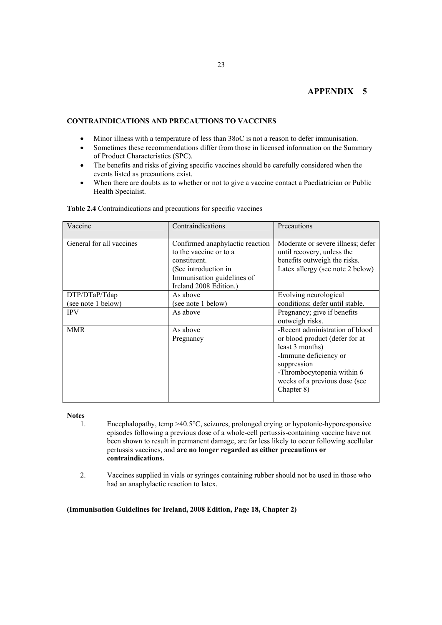#### **CONTRAINDICATIONS AND PRECAUTIONS TO VACCINES**

- Minor illness with a temperature of less than 38oC is not a reason to defer immunisation.
- Sometimes these recommendations differ from those in licensed information on the Summary of Product Characteristics (SPC).
- The benefits and risks of giving specific vaccines should be carefully considered when the events listed as precautions exist.
- When there are doubts as to whether or not to give a vaccine contact a Paediatrician or Public Health Specialist.

| Vaccine                             | Contraindications                                                                                                                                         | Precautions                                                                                                                                                                                               |
|-------------------------------------|-----------------------------------------------------------------------------------------------------------------------------------------------------------|-----------------------------------------------------------------------------------------------------------------------------------------------------------------------------------------------------------|
| General for all vaccines            | Confirmed anaphylactic reaction<br>to the vaccine or to a<br>constituent.<br>(See introduction in<br>Immunisation guidelines of<br>Ireland 2008 Edition.) | Moderate or severe illness; defer<br>until recovery, unless the<br>benefits outweigh the risks.<br>Latex allergy (see note 2 below)                                                                       |
| DTP/DTaP/Tdap<br>(see note 1 below) | As above<br>(see note 1 below)                                                                                                                            | Evolving neurological<br>conditions; defer until stable.                                                                                                                                                  |
| <b>IPV</b>                          | As above                                                                                                                                                  | Pregnancy; give if benefits<br>outweigh risks.                                                                                                                                                            |
| <b>MMR</b>                          | As above<br>Pregnancy                                                                                                                                     | -Recent administration of blood<br>or blood product (defer for at<br>least 3 months)<br>-Immune deficiency or<br>suppression<br>-Thrombocytopenia within 6<br>weeks of a previous dose (see<br>Chapter 8) |

**Table 2.4** Contraindications and precautions for specific vaccines

**Notes** 

- 1. Encephalopathy, temp >40.5°C, seizures, prolonged crying or hypotonic-hyporesponsive episodes following a previous dose of a whole-cell pertussis-containing vaccine have not been shown to result in permanent damage, are far less likely to occur following acellular pertussis vaccines, and **are no longer regarded as either precautions or contraindications.**
- 2. Vaccines supplied in vials or syringes containing rubber should not be used in those who had an anaphylactic reaction to latex.

#### **(Immunisation Guidelines for Ireland, 2008 Edition, Page 18, Chapter 2)**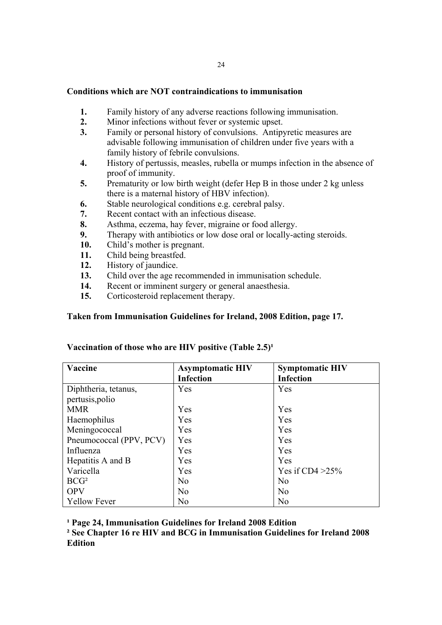### **Conditions which are NOT contraindications to immunisation**

- **1.** Family history of any adverse reactions following immunisation.
- **2.** Minor infections without fever or systemic upset.
- **3.** Family or personal history of convulsions. Antipyretic measures are advisable following immunisation of children under five years with a family history of febrile convulsions.
- **4.** History of pertussis, measles, rubella or mumps infection in the absence of proof of immunity.
- **5.** Prematurity or low birth weight (defer Hep B in those under 2 kg unless there is a maternal history of HBV infection).
- **6.** Stable neurological conditions e.g. cerebral palsy.
- **7.** Recent contact with an infectious disease.
- **8.** Asthma, eczema, hay fever, migraine or food allergy.
- **9.** Therapy with antibiotics or low dose oral or locally-acting steroids.
- **10.** Child's mother is pregnant.
- **11.** Child being breastfed.
- **12.** History of jaundice.
- **13.** Child over the age recommended in immunisation schedule.
- **14.** Recent or imminent surgery or general anaesthesia.
- **15.** Corticosteroid replacement therapy.

### **Taken from Immunisation Guidelines for Ireland, 2008 Edition, page 17.**

| Vaccine                 | <b>Asymptomatic HIV</b><br><b>Infection</b> | <b>Symptomatic HIV</b><br><b>Infection</b> |
|-------------------------|---------------------------------------------|--------------------------------------------|
| Diphtheria, tetanus,    | Yes                                         | Yes                                        |
| pertusis, polio         |                                             |                                            |
| <b>MMR</b>              | Yes                                         | Yes                                        |
| Haemophilus             | Yes                                         | Yes                                        |
| Meningococcal           | Yes                                         | Yes                                        |
| Pneumococcal (PPV, PCV) | Yes                                         | Yes                                        |
| Influenza               | Yes                                         | Yes                                        |
| Hepatitis A and B       | Yes                                         | Yes                                        |
| Varicella               | Yes                                         | Yes if $CD4 > 25\%$                        |
| BCG <sup>2</sup>        | N <sub>0</sub>                              | No                                         |
| <b>OPV</b>              | N <sub>0</sub>                              | No                                         |
| <b>Yellow Fever</b>     | N <sub>0</sub>                              | N <sub>0</sub>                             |

### Vaccination of those who are HIV positive (Table 2.5)<sup>1</sup>

**¹ Page 24, Immunisation Guidelines for Ireland 2008 Edition** 

**² See Chapter 16 re HIV and BCG in Immunisation Guidelines for Ireland 2008 Edition**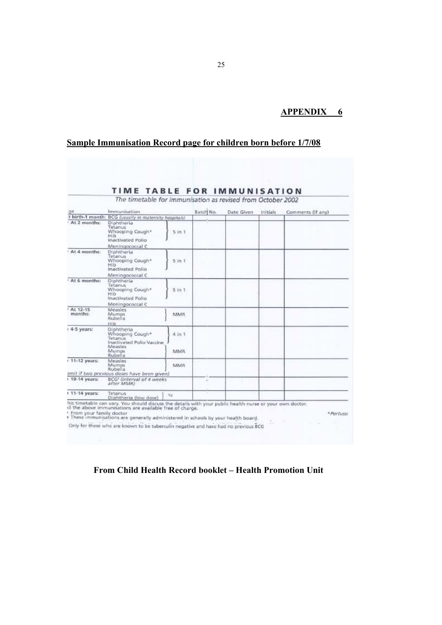### **Sample Immunisation Record page for children born before 1/7/08**

| The timetable for immunisation as revised from October 2002 |                                                                                                                                   |  |           |            |          |                   |  |  |
|-------------------------------------------------------------|-----------------------------------------------------------------------------------------------------------------------------------|--|-----------|------------|----------|-------------------|--|--|
| ne                                                          | Immunisation                                                                                                                      |  | Batch No. | Date Given | Initials | Comments (if any) |  |  |
|                                                             | t birth-1 month: BCG (usually in maternity hospitals)                                                                             |  |           |            |          |                   |  |  |
| At 2 months:                                                | Diphtheria<br>Tetanus<br>Whooping Cough*<br>5 in 1<br>Hib<br>Inactivated Polio                                                    |  |           |            |          |                   |  |  |
| At 4 months:                                                | Meningococcal C<br>Diphtheria                                                                                                     |  |           |            |          |                   |  |  |
|                                                             | Tetanus<br>Whooping Cough*<br>5ln 1<br><b>Hib</b><br>Inactivated Polio                                                            |  |           |            |          |                   |  |  |
|                                                             | Meningococcal C                                                                                                                   |  |           |            |          |                   |  |  |
| At 6 months:                                                | Diphtheria<br>Tetanus<br>Whooping Caugh*<br>5 in 1<br>Hib<br>Inactivated Polio<br>Meningococcal C                                 |  |           |            |          |                   |  |  |
| At 12-15                                                    | Measles                                                                                                                           |  |           |            |          |                   |  |  |
| months:                                                     | Mumps<br><b>MMR</b><br>Rubella<br>Hib                                                                                             |  |           |            |          |                   |  |  |
| $t$ 4-5 years:                                              | Diphtheria<br>Whooping Cough*<br>$4$ in $1$<br>Tetanus<br>Inactivated Polio Vaccine<br>Measles.<br>Mumps<br><b>MMR</b><br>Rubelia |  |           |            |          |                   |  |  |
| r 11-12 years:                                              | Measles.<br>Mumos.<br>MMR.<br>Rubella                                                                                             |  |           |            |          |                   |  |  |
|                                                             | amit if two previous doses have been given)                                                                                       |  |           |            |          |                   |  |  |
| $(10-14$ years:                                             | BCG <sup>3</sup> (interval of 4 weeks)<br>after MMRI                                                                              |  |           |            |          |                   |  |  |
| r 11-14 years:                                              | Tetanus<br>Td<br>Diphtheria (low dose)                                                                                            |  |           |            |          |                   |  |  |

# **From Child Health Record booklet – Health Promotion Unit**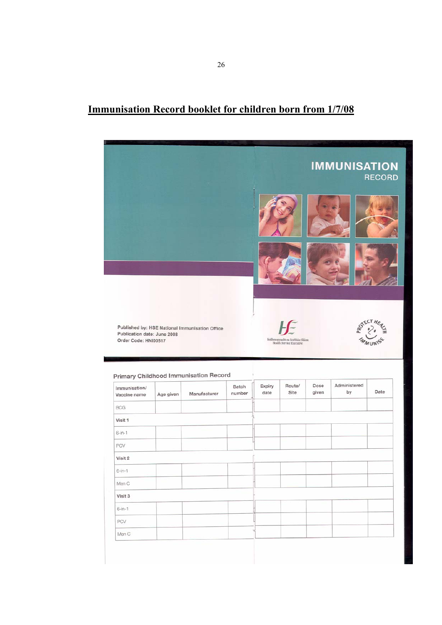# **Immunisation Record booklet for children born from 1/7/08**

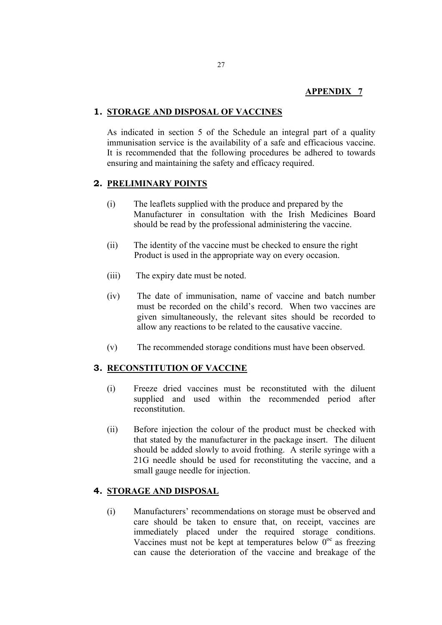### **1. STORAGE AND DISPOSAL OF VACCINES**

As indicated in section 5 of the Schedule an integral part of a quality immunisation service is the availability of a safe and efficacious vaccine. It is recommended that the following procedures be adhered to towards ensuring and maintaining the safety and efficacy required.

### **2. PRELIMINARY POINTS**

- (i) The leaflets supplied with the produce and prepared by the Manufacturer in consultation with the Irish Medicines Board should be read by the professional administering the vaccine.
- (ii) The identity of the vaccine must be checked to ensure the right Product is used in the appropriate way on every occasion.
- (iii) The expiry date must be noted.
- (iv) The date of immunisation, name of vaccine and batch number must be recorded on the child's record. When two vaccines are given simultaneously, the relevant sites should be recorded to allow any reactions to be related to the causative vaccine.
- (v) The recommended storage conditions must have been observed.

### **3. RECONSTITUTION OF VACCINE**

- (i) Freeze dried vaccines must be reconstituted with the diluent supplied and used within the recommended period after reconstitution.
- (ii) Before injection the colour of the product must be checked with that stated by the manufacturer in the package insert. The diluent should be added slowly to avoid frothing. A sterile syringe with a 21G needle should be used for reconstituting the vaccine, and a small gauge needle for injection.

### **4. STORAGE AND DISPOSAL**

(i) Manufacturers' recommendations on storage must be observed and care should be taken to ensure that, on receipt, vaccines are immediately placed under the required storage conditions. Vaccines must not be kept at temperatures below  $0^{\circ c}$  as freezing can cause the deterioration of the vaccine and breakage of the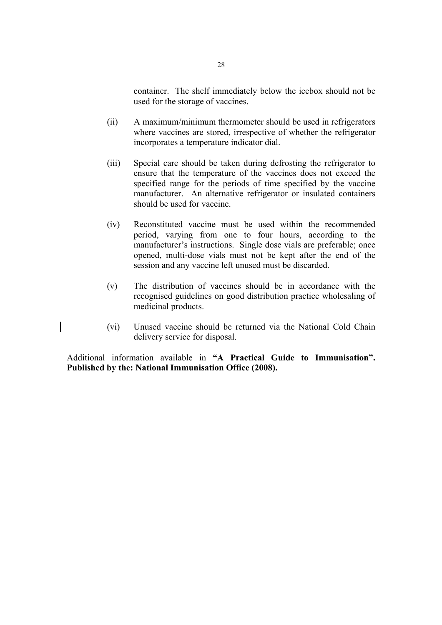container. The shelf immediately below the icebox should not be used for the storage of vaccines.

- (ii) A maximum/minimum thermometer should be used in refrigerators where vaccines are stored, irrespective of whether the refrigerator incorporates a temperature indicator dial.
- (iii) Special care should be taken during defrosting the refrigerator to ensure that the temperature of the vaccines does not exceed the specified range for the periods of time specified by the vaccine manufacturer. An alternative refrigerator or insulated containers should be used for vaccine.
- (iv) Reconstituted vaccine must be used within the recommended period, varying from one to four hours, according to the manufacturer's instructions. Single dose vials are preferable; once opened, multi-dose vials must not be kept after the end of the session and any vaccine left unused must be discarded.
- (v) The distribution of vaccines should be in accordance with the recognised guidelines on good distribution practice wholesaling of medicinal products.
- (vi) Unused vaccine should be returned via the National Cold Chain delivery service for disposal.

Additional information available in **"A Practical Guide to Immunisation". Published by the: National Immunisation Office (2008).**